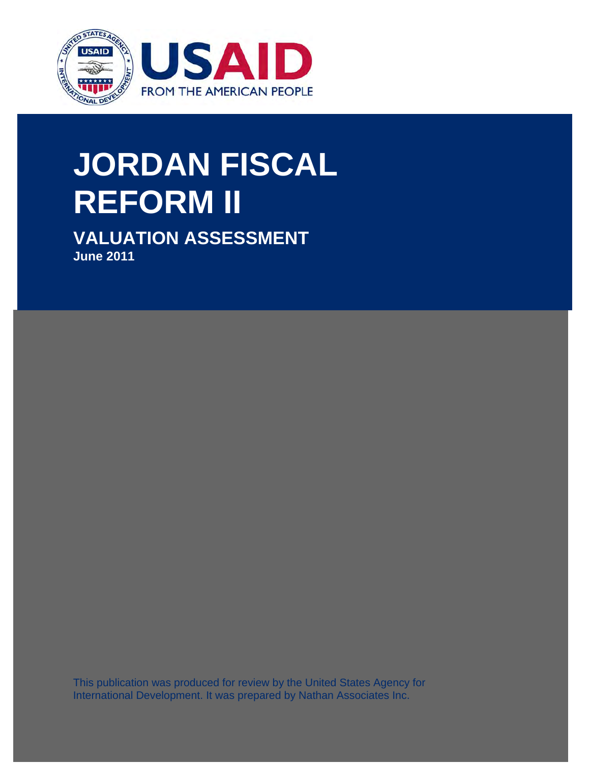

# $T$  this publication was produced for review by the United States by the United States by the United States by the United States by the United States by the United States by the United States by the United States by the U **JORDAN FISCAL DEVELOPMENT.**  $\mathbf{U}$ ris publication was produced for  $\mathbf{U}$  $\sim$  1.1111 for  $\sim$  International Development. It was prepared by Development. It was prepared by Development. It was prepared by Development. It was prepared by Development. It was prepared by Development. It was prepar **REFORM II**

**VALUATION ASSESSMENT June 2011**

This publication was produced for review by the United States Agency for International Development. It was prepared by Nathan Associates Inc.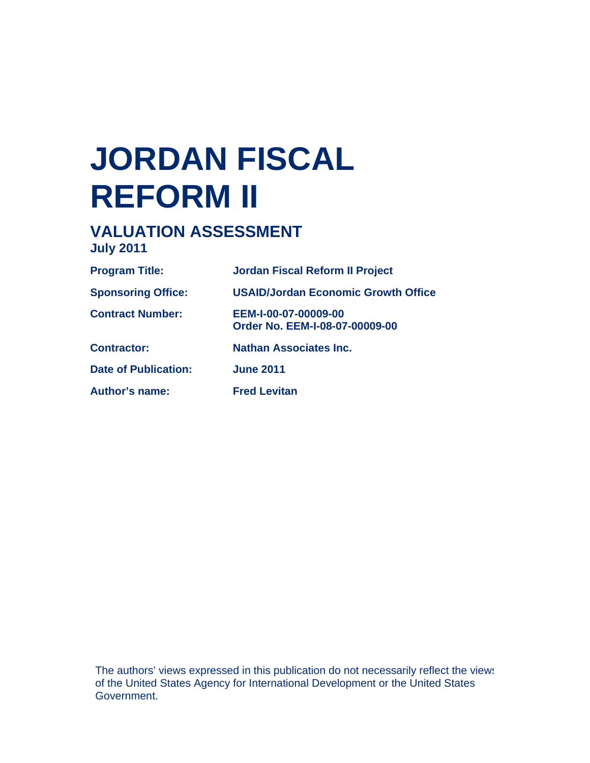# **JORDAN FISCAL REFORM II**

# **VALUATION ASSESSMENT July 2011**

| <b>Program Title:</b>       | <b>Jordan Fiscal Reform II Project</b>                 |
|-----------------------------|--------------------------------------------------------|
| <b>Sponsoring Office:</b>   | <b>USAID/Jordan Economic Growth Office</b>             |
| <b>Contract Number:</b>     | EEM-I-00-07-00009-00<br>Order No. EEM-I-08-07-00009-00 |
| <b>Contractor:</b>          | Nathan Associates Inc.                                 |
| <b>Date of Publication:</b> | <b>June 2011</b>                                       |
| <b>Author's name:</b>       | <b>Fred Levitan</b>                                    |

The authors' views expressed in this publication do not necessarily reflect the views of the United States Agency for International Development or the United States Government.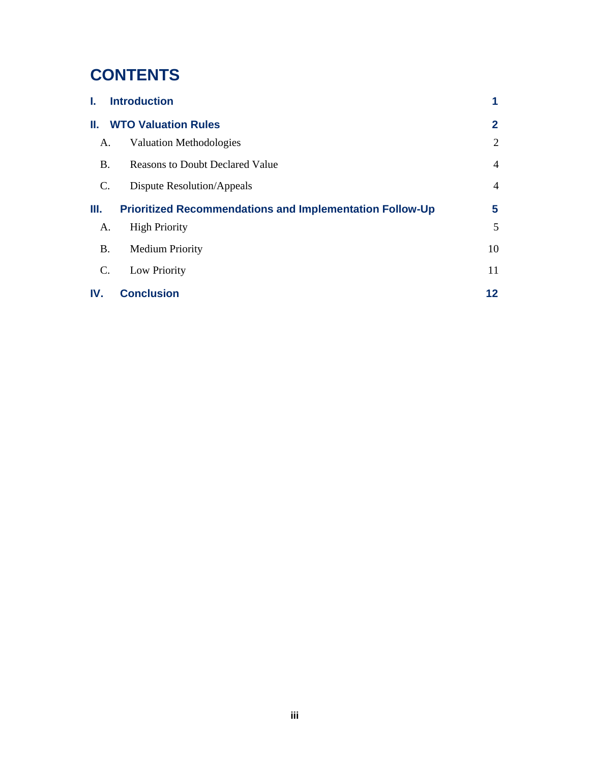# **CONTENTS**

| ı.             | <b>Introduction</b>                                             | 1              |
|----------------|-----------------------------------------------------------------|----------------|
| Ш.             | <b>WTO Valuation Rules</b>                                      | $\mathbf{2}$   |
| A.             | <b>Valuation Methodologies</b>                                  | 2              |
| <b>B.</b>      | <b>Reasons to Doubt Declared Value</b>                          | $\overline{4}$ |
| $\mathbf{C}$ . | Dispute Resolution/Appeals                                      | $\overline{4}$ |
| Ш.             | <b>Prioritized Recommendations and Implementation Follow-Up</b> | 5              |
| A.             | <b>High Priority</b>                                            | 5              |
| <b>B.</b>      | <b>Medium Priority</b>                                          | 10             |
| C.             | Low Priority                                                    | 11             |
| IV.            | <b>Conclusion</b>                                               | 12             |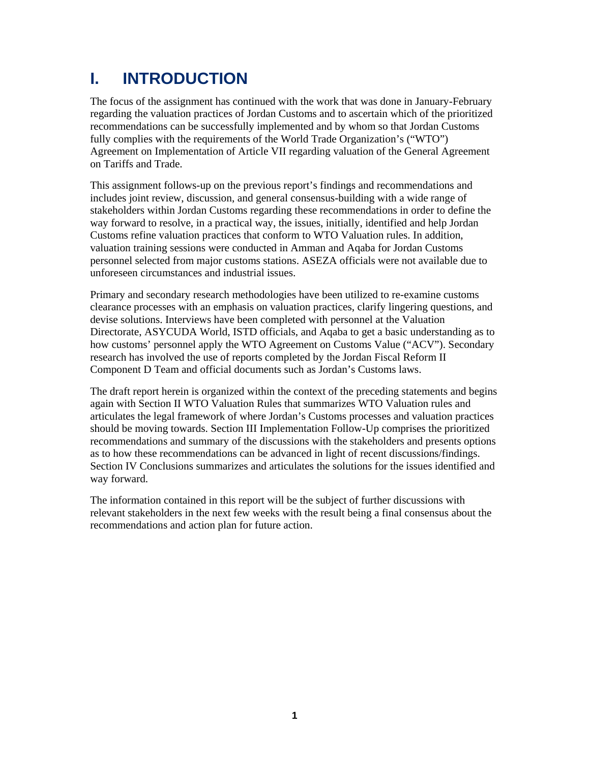# **I. INTRODUCTION**

The focus of the assignment has continued with the work that was done in January-February regarding the valuation practices of Jordan Customs and to ascertain which of the prioritized recommendations can be successfully implemented and by whom so that Jordan Customs fully complies with the requirements of the World Trade Organization's ("WTO") Agreement on Implementation of Article VII regarding valuation of the General Agreement on Tariffs and Trade.

This assignment follows-up on the previous report's findings and recommendations and includes joint review, discussion, and general consensus-building with a wide range of stakeholders within Jordan Customs regarding these recommendations in order to define the way forward to resolve, in a practical way, the issues, initially, identified and help Jordan Customs refine valuation practices that conform to WTO Valuation rules. In addition, valuation training sessions were conducted in Amman and Aqaba for Jordan Customs personnel selected from major customs stations. ASEZA officials were not available due to unforeseen circumstances and industrial issues.

Primary and secondary research methodologies have been utilized to re-examine customs clearance processes with an emphasis on valuation practices, clarify lingering questions, and devise solutions. Interviews have been completed with personnel at the Valuation Directorate, ASYCUDA World, ISTD officials, and Aqaba to get a basic understanding as to how customs' personnel apply the WTO Agreement on Customs Value ("ACV"). Secondary research has involved the use of reports completed by the Jordan Fiscal Reform II Component D Team and official documents such as Jordan's Customs laws.

The draft report herein is organized within the context of the preceding statements and begins again with Section II WTO Valuation Rules that summarizes WTO Valuation rules and articulates the legal framework of where Jordan's Customs processes and valuation practices should be moving towards. Section III Implementation Follow-Up comprises the prioritized recommendations and summary of the discussions with the stakeholders and presents options as to how these recommendations can be advanced in light of recent discussions/findings. Section IV Conclusions summarizes and articulates the solutions for the issues identified and way forward.

The information contained in this report will be the subject of further discussions with relevant stakeholders in the next few weeks with the result being a final consensus about the recommendations and action plan for future action.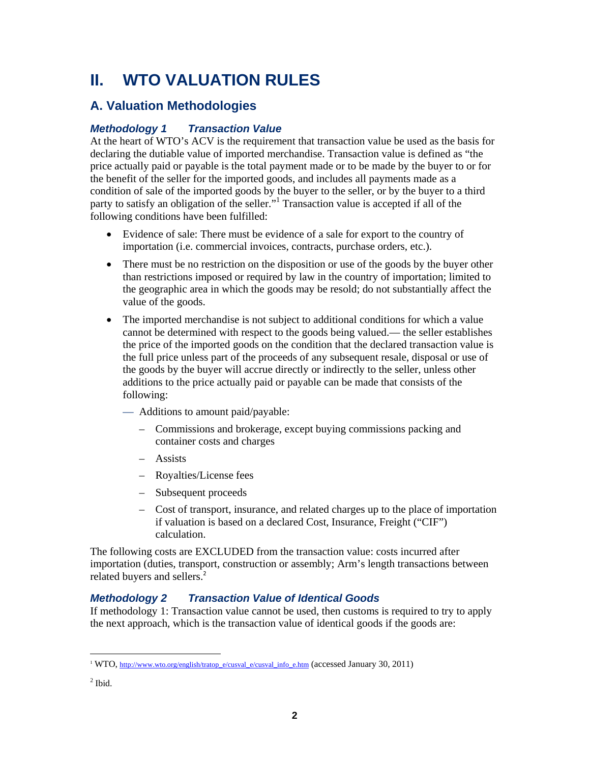# **II. WTO VALUATION RULES**

### **A. Valuation Methodologies**

#### *Methodology 1 Transaction Value*

At the heart of WTO's ACV is the requirement that transaction value be used as the basis for declaring the dutiable value of imported merchandise. Transaction value is defined as "the price actually paid or payable is the total payment made or to be made by the buyer to or for the benefit of the seller for the imported goods, and includes all payments made as a condition of sale of the imported goods by the buyer to the seller, or by the buyer to a third party to satisfy an obligation of the seller."<sup>1</sup> Transaction value is accepted if all of the following conditions have been fulfilled:

- Evidence of sale: There must be evidence of a sale for export to the country of importation (i.e. commercial invoices, contracts, purchase orders, etc.).
- There must be no restriction on the disposition or use of the goods by the buyer other than restrictions imposed or required by law in the country of importation; limited to the geographic area in which the goods may be resold; do not substantially affect the value of the goods.
- The imported merchandise is not subject to additional conditions for which a value cannot be determined with respect to the goods being valued.— the seller establishes the price of the imported goods on the condition that the declared transaction value is the full price unless part of the proceeds of any subsequent resale, disposal or use of the goods by the buyer will accrue directly or indirectly to the seller, unless other additions to the price actually paid or payable can be made that consists of the following:
	- Additions to amount paid/payable:
		- Commissions and brokerage, except buying commissions packing and container costs and charges
		- Assists
		- Royalties/License fees
		- Subsequent proceeds
		- Cost of transport, insurance, and related charges up to the place of importation if valuation is based on a declared Cost, Insurance, Freight ("CIF") calculation.

The following costs are EXCLUDED from the transaction value: costs incurred after importation (duties, transport, construction or assembly; Arm's length transactions between related buyers and sellers.<sup>2</sup>

#### *Methodology 2 Transaction Value of Identical Goods*

If methodology 1: Transaction value cannot be used, then customs is required to try to apply the next approach, which is the transaction value of identical goods if the goods are:

 $\overline{a}$ 

<sup>&</sup>lt;sup>1</sup> WTO, http://www.wto.org/english/tratop\_e/cusval\_e/cusval\_info\_e.htm (accessed January 30, 2011)

 $<sup>2</sup>$  Ibid.</sup>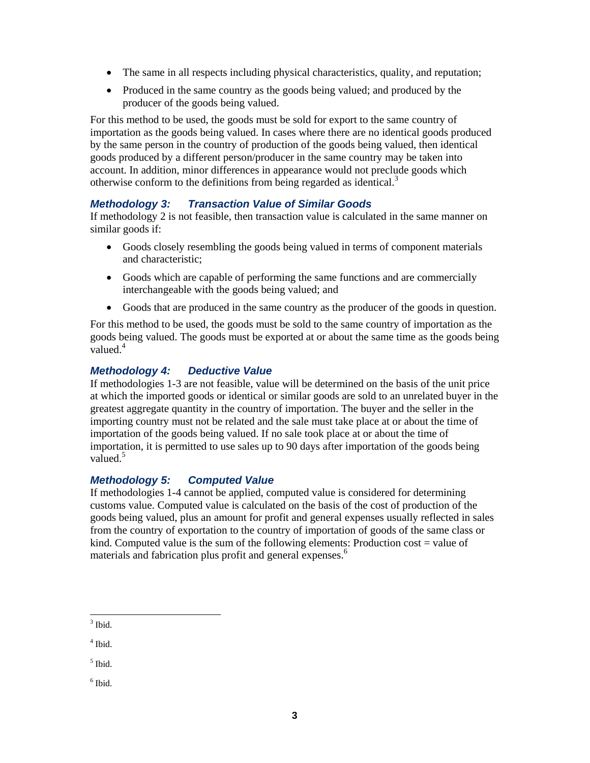- The same in all respects including physical characteristics, quality, and reputation;
- Produced in the same country as the goods being valued; and produced by the producer of the goods being valued.

For this method to be used, the goods must be sold for export to the same country of importation as the goods being valued. In cases where there are no identical goods produced by the same person in the country of production of the goods being valued, then identical goods produced by a different person/producer in the same country may be taken into account. In addition, minor differences in appearance would not preclude goods which otherwise conform to the definitions from being regarded as identical.<sup>3</sup>

#### *Methodology 3: Transaction Value of Similar Goods*

If methodology 2 is not feasible, then transaction value is calculated in the same manner on similar goods if:

- Goods closely resembling the goods being valued in terms of component materials and characteristic;
- Goods which are capable of performing the same functions and are commercially interchangeable with the goods being valued; and
- Goods that are produced in the same country as the producer of the goods in question.

For this method to be used, the goods must be sold to the same country of importation as the goods being valued. The goods must be exported at or about the same time as the goods being valued.<sup>4</sup>

#### *Methodology 4: Deductive Value*

If methodologies 1-3 are not feasible, value will be determined on the basis of the unit price at which the imported goods or identical or similar goods are sold to an unrelated buyer in the greatest aggregate quantity in the country of importation. The buyer and the seller in the importing country must not be related and the sale must take place at or about the time of importation of the goods being valued. If no sale took place at or about the time of importation, it is permitted to use sales up to 90 days after importation of the goods being valued.<sup>5</sup>

#### *Methodology 5: Computed Value*

If methodologies 1-4 cannot be applied, computed value is considered for determining customs value. Computed value is calculated on the basis of the cost of production of the goods being valued, plus an amount for profit and general expenses usually reflected in sales from the country of exportation to the country of importation of goods of the same class or kind. Computed value is the sum of the following elements: Production cost  $=$  value of materials and fabrication plus profit and general expenses.<sup>6</sup>

 $<sup>6</sup>$  Ibid.</sup>

 $\overline{a}$  $3$  Ibid.

<sup>4</sup> Ibid.

 $<sup>5</sup>$  Ibid.</sup>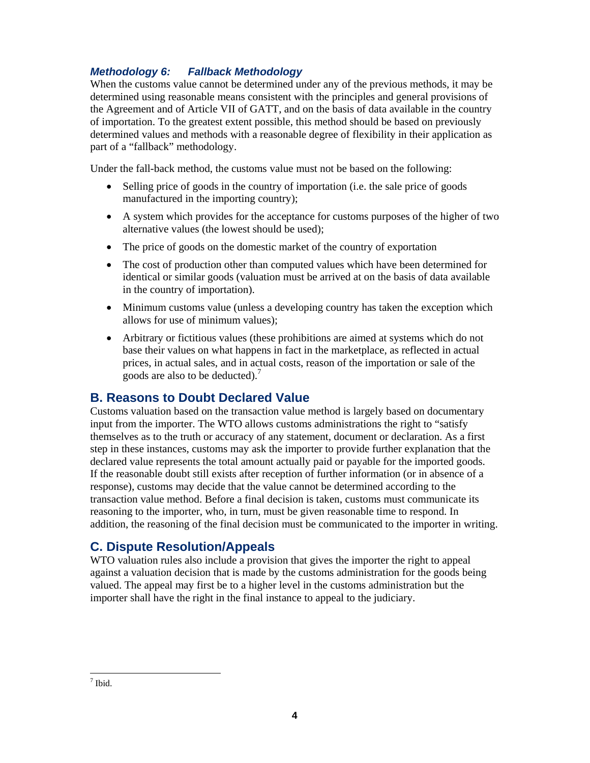### *Methodology 6: Fallback Methodology*

When the customs value cannot be determined under any of the previous methods, it may be determined using reasonable means consistent with the principles and general provisions of the Agreement and of Article VII of GATT, and on the basis of data available in the country of importation. To the greatest extent possible, this method should be based on previously determined values and methods with a reasonable degree of flexibility in their application as part of a "fallback" methodology.

Under the fall-back method, the customs value must not be based on the following:

- Selling price of goods in the country of importation (i.e. the sale price of goods manufactured in the importing country);
- A system which provides for the acceptance for customs purposes of the higher of two alternative values (the lowest should be used);
- The price of goods on the domestic market of the country of exportation
- The cost of production other than computed values which have been determined for identical or similar goods (valuation must be arrived at on the basis of data available in the country of importation).
- Minimum customs value (unless a developing country has taken the exception which allows for use of minimum values);
- Arbitrary or fictitious values (these prohibitions are aimed at systems which do not base their values on what happens in fact in the marketplace, as reflected in actual prices, in actual sales, and in actual costs, reason of the importation or sale of the goods are also to be deducted).<sup>7</sup>

### **B. Reasons to Doubt Declared Value**

Customs valuation based on the transaction value method is largely based on documentary input from the importer. The WTO allows customs administrations the right to "satisfy themselves as to the truth or accuracy of any statement, document or declaration. As a first step in these instances, customs may ask the importer to provide further explanation that the declared value represents the total amount actually paid or payable for the imported goods. If the reasonable doubt still exists after reception of further information (or in absence of a response), customs may decide that the value cannot be determined according to the transaction value method. Before a final decision is taken, customs must communicate its reasoning to the importer, who, in turn, must be given reasonable time to respond. In addition, the reasoning of the final decision must be communicated to the importer in writing.

### **C. Dispute Resolution/Appeals**

WTO valuation rules also include a provision that gives the importer the right to appeal against a valuation decision that is made by the customs administration for the goods being valued. The appeal may first be to a higher level in the customs administration but the importer shall have the right in the final instance to appeal to the judiciary.

 $\frac{1}{7}$  Ibid.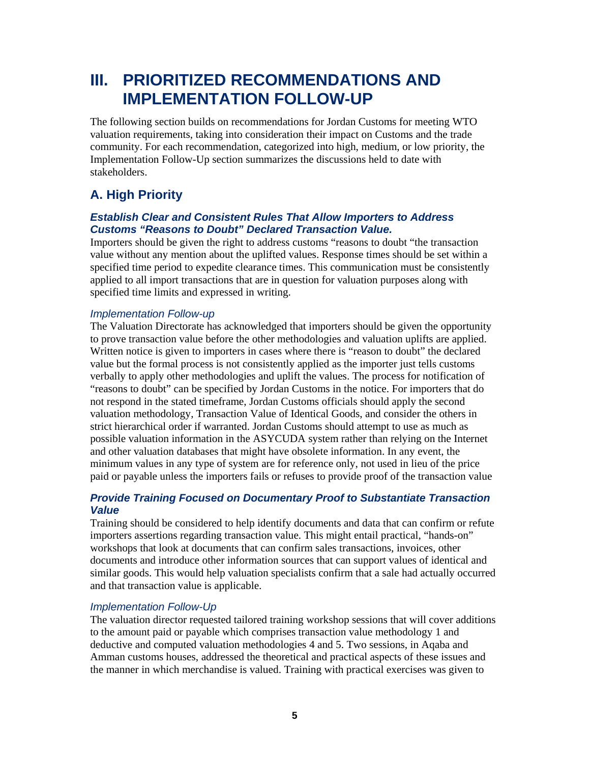# **III. PRIORITIZED RECOMMENDATIONS AND IMPLEMENTATION FOLLOW-UP**

The following section builds on recommendations for Jordan Customs for meeting WTO valuation requirements, taking into consideration their impact on Customs and the trade community. For each recommendation, categorized into high, medium, or low priority, the Implementation Follow-Up section summarizes the discussions held to date with stakeholders.

# **A. High Priority**

#### *Establish Clear and Consistent Rules That Allow Importers to Address Customs "Reasons to Doubt" Declared Transaction Value.*

Importers should be given the right to address customs "reasons to doubt "the transaction value without any mention about the uplifted values. Response times should be set within a specified time period to expedite clearance times. This communication must be consistently applied to all import transactions that are in question for valuation purposes along with specified time limits and expressed in writing.

#### *Implementation Follow-up*

The Valuation Directorate has acknowledged that importers should be given the opportunity to prove transaction value before the other methodologies and valuation uplifts are applied. Written notice is given to importers in cases where there is "reason to doubt" the declared value but the formal process is not consistently applied as the importer just tells customs verbally to apply other methodologies and uplift the values. The process for notification of "reasons to doubt" can be specified by Jordan Customs in the notice. For importers that do not respond in the stated timeframe, Jordan Customs officials should apply the second valuation methodology, Transaction Value of Identical Goods, and consider the others in strict hierarchical order if warranted. Jordan Customs should attempt to use as much as possible valuation information in the ASYCUDA system rather than relying on the Internet and other valuation databases that might have obsolete information. In any event, the minimum values in any type of system are for reference only, not used in lieu of the price paid or payable unless the importers fails or refuses to provide proof of the transaction value

#### *Provide Training Focused on Documentary Proof to Substantiate Transaction Value*

Training should be considered to help identify documents and data that can confirm or refute importers assertions regarding transaction value. This might entail practical, "hands-on" workshops that look at documents that can confirm sales transactions, invoices, other documents and introduce other information sources that can support values of identical and similar goods. This would help valuation specialists confirm that a sale had actually occurred and that transaction value is applicable.

#### *Implementation Follow-Up*

The valuation director requested tailored training workshop sessions that will cover additions to the amount paid or payable which comprises transaction value methodology 1 and deductive and computed valuation methodologies 4 and 5. Two sessions, in Aqaba and Amman customs houses, addressed the theoretical and practical aspects of these issues and the manner in which merchandise is valued. Training with practical exercises was given to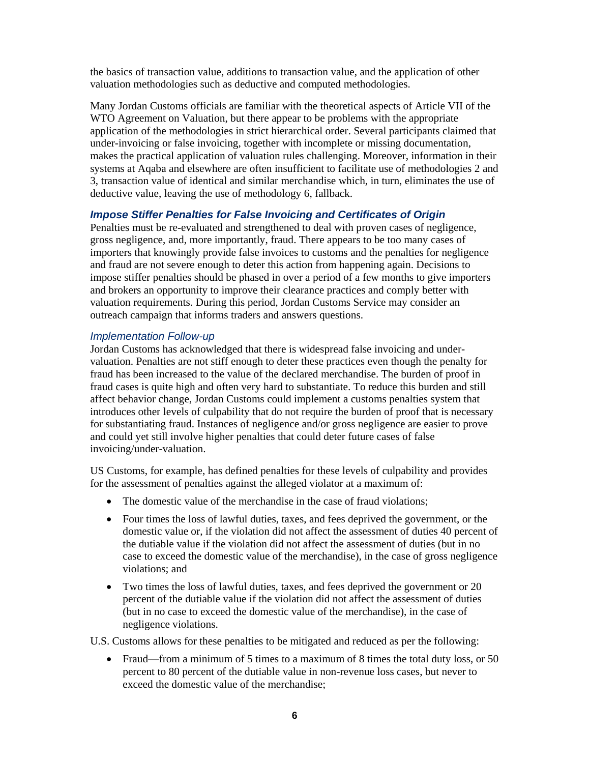the basics of transaction value, additions to transaction value, and the application of other valuation methodologies such as deductive and computed methodologies.

Many Jordan Customs officials are familiar with the theoretical aspects of Article VII of the WTO Agreement on Valuation, but there appear to be problems with the appropriate application of the methodologies in strict hierarchical order. Several participants claimed that under-invoicing or false invoicing, together with incomplete or missing documentation, makes the practical application of valuation rules challenging. Moreover, information in their systems at Aqaba and elsewhere are often insufficient to facilitate use of methodologies 2 and 3, transaction value of identical and similar merchandise which, in turn, eliminates the use of deductive value, leaving the use of methodology 6, fallback.

#### *Impose Stiffer Penalties for False Invoicing and Certificates of Origin*

Penalties must be re-evaluated and strengthened to deal with proven cases of negligence, gross negligence, and, more importantly, fraud. There appears to be too many cases of importers that knowingly provide false invoices to customs and the penalties for negligence and fraud are not severe enough to deter this action from happening again. Decisions to impose stiffer penalties should be phased in over a period of a few months to give importers and brokers an opportunity to improve their clearance practices and comply better with valuation requirements. During this period, Jordan Customs Service may consider an outreach campaign that informs traders and answers questions.

#### *Implementation Follow-up*

Jordan Customs has acknowledged that there is widespread false invoicing and undervaluation. Penalties are not stiff enough to deter these practices even though the penalty for fraud has been increased to the value of the declared merchandise. The burden of proof in fraud cases is quite high and often very hard to substantiate. To reduce this burden and still affect behavior change, Jordan Customs could implement a customs penalties system that introduces other levels of culpability that do not require the burden of proof that is necessary for substantiating fraud. Instances of negligence and/or gross negligence are easier to prove and could yet still involve higher penalties that could deter future cases of false invoicing/under-valuation.

US Customs, for example, has defined penalties for these levels of culpability and provides for the assessment of penalties against the alleged violator at a maximum of:

- The domestic value of the merchandise in the case of fraud violations;
- Four times the loss of lawful duties, taxes, and fees deprived the government, or the domestic value or, if the violation did not affect the assessment of duties 40 percent of the dutiable value if the violation did not affect the assessment of duties (but in no case to exceed the domestic value of the merchandise), in the case of gross negligence violations; and
- Two times the loss of lawful duties, taxes, and fees deprived the government or 20 percent of the dutiable value if the violation did not affect the assessment of duties (but in no case to exceed the domestic value of the merchandise), in the case of negligence violations.

U.S. Customs allows for these penalties to be mitigated and reduced as per the following:

• Fraud—from a minimum of 5 times to a maximum of 8 times the total duty loss, or 50 percent to 80 percent of the dutiable value in non-revenue loss cases, but never to exceed the domestic value of the merchandise;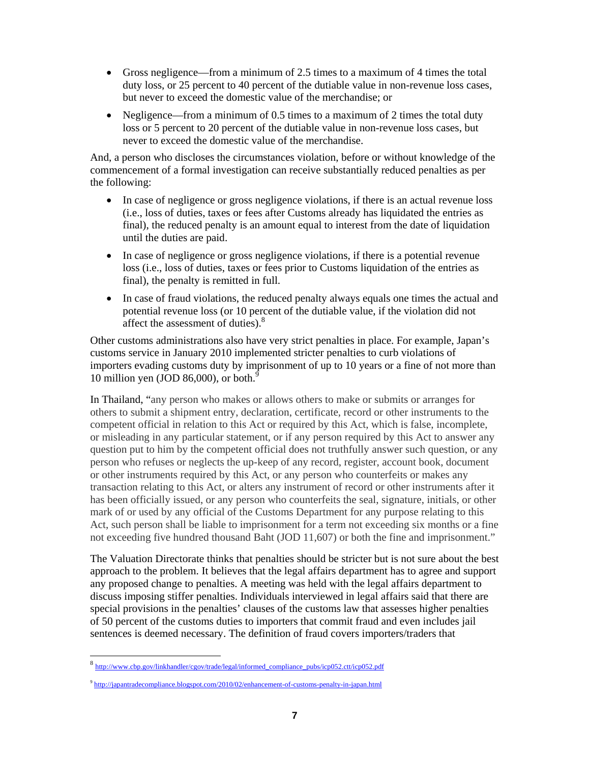- Gross negligence—from a minimum of 2.5 times to a maximum of 4 times the total duty loss, or 25 percent to 40 percent of the dutiable value in non-revenue loss cases, but never to exceed the domestic value of the merchandise; or
- Negligence—from a minimum of 0.5 times to a maximum of 2 times the total duty loss or 5 percent to 20 percent of the dutiable value in non-revenue loss cases, but never to exceed the domestic value of the merchandise.

And, a person who discloses the circumstances violation, before or without knowledge of the commencement of a formal investigation can receive substantially reduced penalties as per the following:

- In case of negligence or gross negligence violations, if there is an actual revenue loss (i.e., loss of duties, taxes or fees after Customs already has liquidated the entries as final), the reduced penalty is an amount equal to interest from the date of liquidation until the duties are paid.
- In case of negligence or gross negligence violations, if there is a potential revenue loss (i.e., loss of duties, taxes or fees prior to Customs liquidation of the entries as final), the penalty is remitted in full.
- In case of fraud violations, the reduced penalty always equals one times the actual and potential revenue loss (or 10 percent of the dutiable value, if the violation did not affect the assessment of duties).<sup>8</sup>

Other customs administrations also have very strict penalties in place. For example, Japan's customs service in January 2010 implemented stricter penalties to curb violations of importers evading customs duty by imprisonment of up to 10 years or a fine of not more than 10 million yen (JOD 86,000), or both. $\frac{5}{2}$ 

In Thailand, "any person who makes or allows others to make or submits or arranges for others to submit a shipment entry, declaration, certificate, record or other instruments to the competent official in relation to this Act or required by this Act, which is false, incomplete, or misleading in any particular statement, or if any person required by this Act to answer any question put to him by the competent official does not truthfully answer such question, or any person who refuses or neglects the up-keep of any record, register, account book, document or other instruments required by this Act, or any person who counterfeits or makes any transaction relating to this Act, or alters any instrument of record or other instruments after it has been officially issued, or any person who counterfeits the seal, signature, initials, or other mark of or used by any official of the Customs Department for any purpose relating to this Act, such person shall be liable to imprisonment for a term not exceeding six months or a fine not exceeding five hundred thousand Baht (JOD 11,607) or both the fine and imprisonment."

The Valuation Directorate thinks that penalties should be stricter but is not sure about the best approach to the problem. It believes that the legal affairs department has to agree and support any proposed change to penalties. A meeting was held with the legal affairs department to discuss imposing stiffer penalties. Individuals interviewed in legal affairs said that there are special provisions in the penalties' clauses of the customs law that assesses higher penalties of 50 percent of the customs duties to importers that commit fraud and even includes jail sentences is deemed necessary. The definition of fraud covers importers/traders that

<sup>8</sup> http://www.cbp.gov/linkhandler/cgov/trade/legal/informed\_compliance\_pubs/icp052.ctt/icp052.pdf

<sup>9</sup> http://japantradecompliance.blogspot.com/2010/02/enhancement-of-customs-penalty-in-japan.html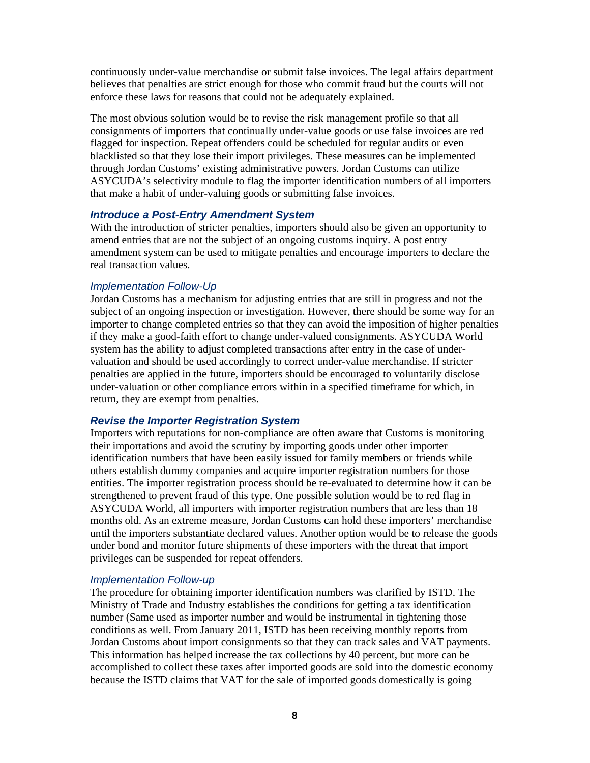continuously under-value merchandise or submit false invoices. The legal affairs department believes that penalties are strict enough for those who commit fraud but the courts will not enforce these laws for reasons that could not be adequately explained.

The most obvious solution would be to revise the risk management profile so that all consignments of importers that continually under-value goods or use false invoices are red flagged for inspection. Repeat offenders could be scheduled for regular audits or even blacklisted so that they lose their import privileges. These measures can be implemented through Jordan Customs' existing administrative powers. Jordan Customs can utilize ASYCUDA's selectivity module to flag the importer identification numbers of all importers that make a habit of under-valuing goods or submitting false invoices.

#### *Introduce a Post-Entry Amendment System*

With the introduction of stricter penalties, importers should also be given an opportunity to amend entries that are not the subject of an ongoing customs inquiry. A post entry amendment system can be used to mitigate penalties and encourage importers to declare the real transaction values.

#### *Implementation Follow-Up*

Jordan Customs has a mechanism for adjusting entries that are still in progress and not the subject of an ongoing inspection or investigation. However, there should be some way for an importer to change completed entries so that they can avoid the imposition of higher penalties if they make a good-faith effort to change under-valued consignments. ASYCUDA World system has the ability to adjust completed transactions after entry in the case of undervaluation and should be used accordingly to correct under-value merchandise. If stricter penalties are applied in the future, importers should be encouraged to voluntarily disclose under-valuation or other compliance errors within in a specified timeframe for which, in return, they are exempt from penalties.

#### *Revise the Importer Registration System*

Importers with reputations for non-compliance are often aware that Customs is monitoring their importations and avoid the scrutiny by importing goods under other importer identification numbers that have been easily issued for family members or friends while others establish dummy companies and acquire importer registration numbers for those entities. The importer registration process should be re-evaluated to determine how it can be strengthened to prevent fraud of this type. One possible solution would be to red flag in ASYCUDA World, all importers with importer registration numbers that are less than 18 months old. As an extreme measure, Jordan Customs can hold these importers' merchandise until the importers substantiate declared values. Another option would be to release the goods under bond and monitor future shipments of these importers with the threat that import privileges can be suspended for repeat offenders.

#### *Implementation Follow-up*

The procedure for obtaining importer identification numbers was clarified by ISTD. The Ministry of Trade and Industry establishes the conditions for getting a tax identification number (Same used as importer number and would be instrumental in tightening those conditions as well. From January 2011, ISTD has been receiving monthly reports from Jordan Customs about import consignments so that they can track sales and VAT payments. This information has helped increase the tax collections by 40 percent, but more can be accomplished to collect these taxes after imported goods are sold into the domestic economy because the ISTD claims that VAT for the sale of imported goods domestically is going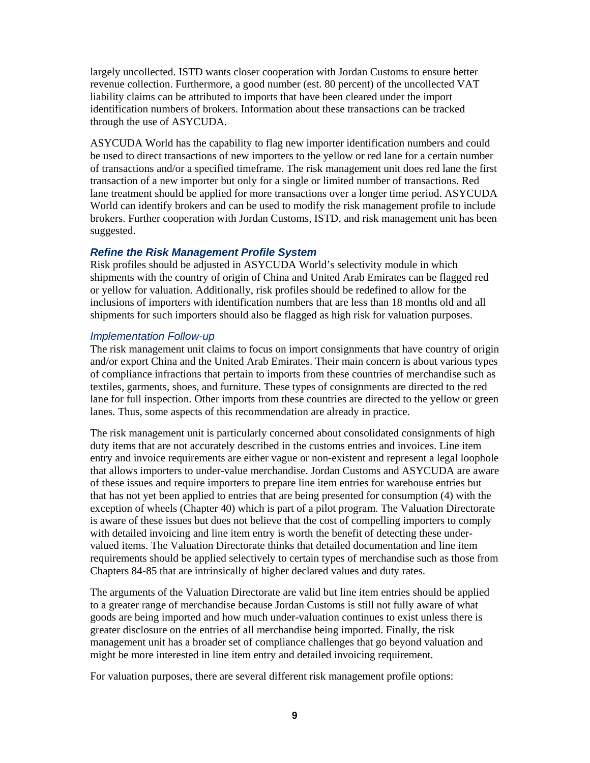largely uncollected. ISTD wants closer cooperation with Jordan Customs to ensure better revenue collection. Furthermore, a good number (est. 80 percent) of the uncollected VAT liability claims can be attributed to imports that have been cleared under the import identification numbers of brokers. Information about these transactions can be tracked through the use of ASYCUDA.

ASYCUDA World has the capability to flag new importer identification numbers and could be used to direct transactions of new importers to the yellow or red lane for a certain number of transactions and/or a specified timeframe. The risk management unit does red lane the first transaction of a new importer but only for a single or limited number of transactions. Red lane treatment should be applied for more transactions over a longer time period. ASYCUDA World can identify brokers and can be used to modify the risk management profile to include brokers. Further cooperation with Jordan Customs, ISTD, and risk management unit has been suggested.

#### *Refine the Risk Management Profile System*

Risk profiles should be adjusted in ASYCUDA World's selectivity module in which shipments with the country of origin of China and United Arab Emirates can be flagged red or yellow for valuation. Additionally, risk profiles should be redefined to allow for the inclusions of importers with identification numbers that are less than 18 months old and all shipments for such importers should also be flagged as high risk for valuation purposes.

#### *Implementation Follow-up*

The risk management unit claims to focus on import consignments that have country of origin and/or export China and the United Arab Emirates. Their main concern is about various types of compliance infractions that pertain to imports from these countries of merchandise such as textiles, garments, shoes, and furniture. These types of consignments are directed to the red lane for full inspection. Other imports from these countries are directed to the yellow or green lanes. Thus, some aspects of this recommendation are already in practice.

The risk management unit is particularly concerned about consolidated consignments of high duty items that are not accurately described in the customs entries and invoices. Line item entry and invoice requirements are either vague or non-existent and represent a legal loophole that allows importers to under-value merchandise. Jordan Customs and ASYCUDA are aware of these issues and require importers to prepare line item entries for warehouse entries but that has not yet been applied to entries that are being presented for consumption (4) with the exception of wheels (Chapter 40) which is part of a pilot program. The Valuation Directorate is aware of these issues but does not believe that the cost of compelling importers to comply with detailed invoicing and line item entry is worth the benefit of detecting these undervalued items. The Valuation Directorate thinks that detailed documentation and line item requirements should be applied selectively to certain types of merchandise such as those from Chapters 84-85 that are intrinsically of higher declared values and duty rates.

The arguments of the Valuation Directorate are valid but line item entries should be applied to a greater range of merchandise because Jordan Customs is still not fully aware of what goods are being imported and how much under-valuation continues to exist unless there is greater disclosure on the entries of all merchandise being imported. Finally, the risk management unit has a broader set of compliance challenges that go beyond valuation and might be more interested in line item entry and detailed invoicing requirement.

For valuation purposes, there are several different risk management profile options: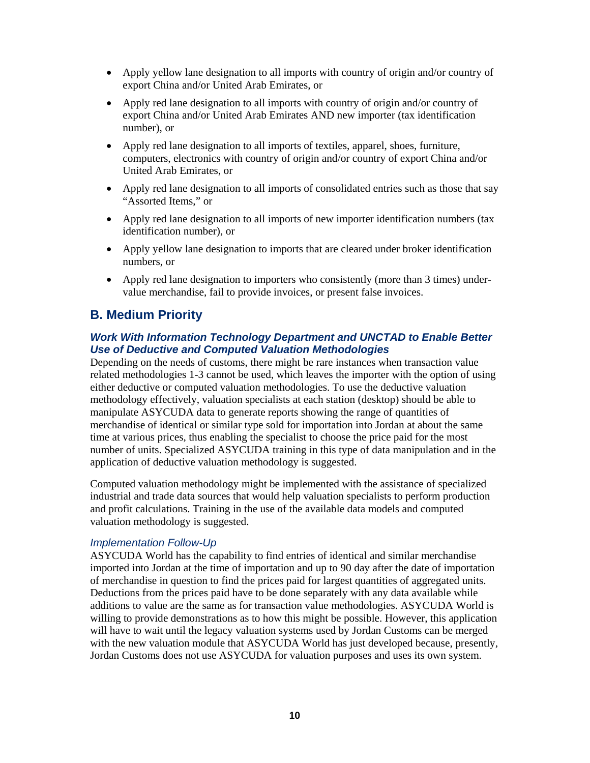- Apply yellow lane designation to all imports with country of origin and/or country of export China and/or United Arab Emirates, or
- Apply red lane designation to all imports with country of origin and/or country of export China and/or United Arab Emirates AND new importer (tax identification number), or
- Apply red lane designation to all imports of textiles, apparel, shoes, furniture, computers, electronics with country of origin and/or country of export China and/or United Arab Emirates, or
- Apply red lane designation to all imports of consolidated entries such as those that say "Assorted Items," or
- Apply red lane designation to all imports of new importer identification numbers (tax identification number), or
- Apply yellow lane designation to imports that are cleared under broker identification numbers, or
- Apply red lane designation to importers who consistently (more than 3 times) undervalue merchandise, fail to provide invoices, or present false invoices.

### **B. Medium Priority**

#### *Work With Information Technology Department and UNCTAD to Enable Better Use of Deductive and Computed Valuation Methodologies*

Depending on the needs of customs, there might be rare instances when transaction value related methodologies 1-3 cannot be used, which leaves the importer with the option of using either deductive or computed valuation methodologies. To use the deductive valuation methodology effectively, valuation specialists at each station (desktop) should be able to manipulate ASYCUDA data to generate reports showing the range of quantities of merchandise of identical or similar type sold for importation into Jordan at about the same time at various prices, thus enabling the specialist to choose the price paid for the most number of units. Specialized ASYCUDA training in this type of data manipulation and in the application of deductive valuation methodology is suggested.

Computed valuation methodology might be implemented with the assistance of specialized industrial and trade data sources that would help valuation specialists to perform production and profit calculations. Training in the use of the available data models and computed valuation methodology is suggested.

#### *Implementation Follow-Up*

ASYCUDA World has the capability to find entries of identical and similar merchandise imported into Jordan at the time of importation and up to 90 day after the date of importation of merchandise in question to find the prices paid for largest quantities of aggregated units. Deductions from the prices paid have to be done separately with any data available while additions to value are the same as for transaction value methodologies. ASYCUDA World is willing to provide demonstrations as to how this might be possible. However, this application will have to wait until the legacy valuation systems used by Jordan Customs can be merged with the new valuation module that ASYCUDA World has just developed because, presently, Jordan Customs does not use ASYCUDA for valuation purposes and uses its own system.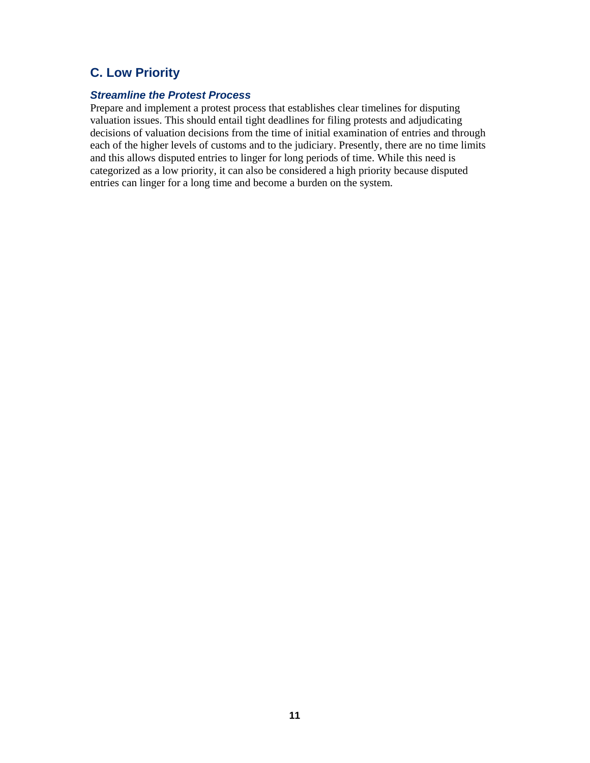# **C. Low Priority**

#### *Streamline the Protest Process*

Prepare and implement a protest process that establishes clear timelines for disputing valuation issues. This should entail tight deadlines for filing protests and adjudicating decisions of valuation decisions from the time of initial examination of entries and through each of the higher levels of customs and to the judiciary. Presently, there are no time limits and this allows disputed entries to linger for long periods of time. While this need is categorized as a low priority, it can also be considered a high priority because disputed entries can linger for a long time and become a burden on the system.